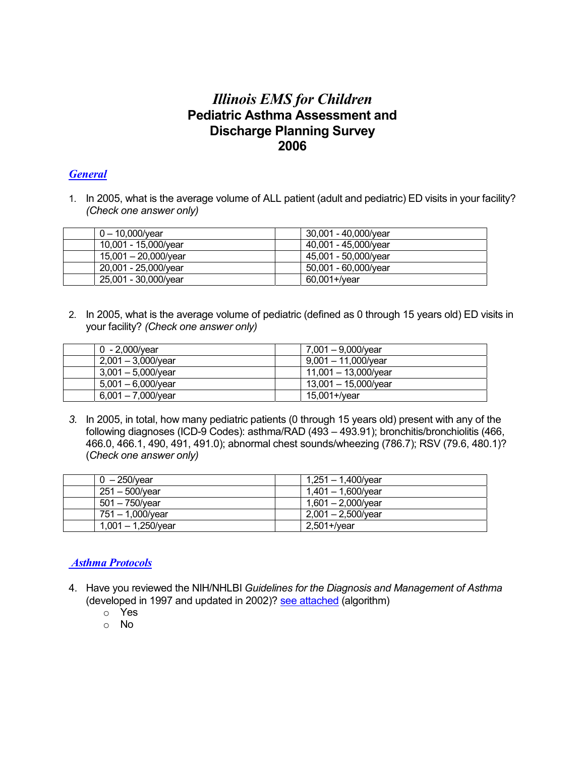# *Illinois EMS for Children*  **Pediatric Asthma Assessment and Discharge Planning Survey 2006**

### *General*

1. In 2005, what is the average volume of ALL patient (adult and pediatric) ED visits in your facility? *(Check one answer only)*

| $0 - 10.000$ /vear   | 30.001 - 40.000/year |
|----------------------|----------------------|
| 10,001 - 15,000/year | 40,001 - 45,000/year |
| 15,001 - 20,000/year | 45,001 - 50,000/year |
| 20,001 - 25,000/year | 50,001 - 60,000/year |
| 25,001 - 30,000/year | 60,001+/year         |

2. In 2005, what is the average volume of pediatric (defined as 0 through 15 years old) ED visits in your facility? *(Check one answer only)*

| 0 - 2.000/vear        | 7,001 - 9,000/year     |
|-----------------------|------------------------|
| $2,001 - 3,000$ /year | $9,001 - 11,000$ /year |
| $3.001 - 5.000$ /vear | 11,001 - 13,000/year   |
| $5,001 - 6,000$ /year | 13,001 - 15,000/year   |
| $6,001 - 7,000$ /year | 15,001+/year           |

*3.* In 2005, in total, how many pediatric patients (0 through 15 years old) present with any of the following diagnoses (ICD-9 Codes): asthma/RAD (493 – 493.91); bronchitis/bronchiolitis (466, 466.0, 466.1, 490, 491, 491.0); abnormal chest sounds/wheezing (786.7); RSV (79.6, 480.1)? (*Check one answer only)* 

| $0 - 250$ /vear       | 1,251 – 1,400/year    |
|-----------------------|-----------------------|
| 251 – 500/year        | 1,401 - 1,600/year    |
| 501 – 750/year        | 1,601 - 2,000/year    |
| 751 – 1,000/year      | $2,001 - 2,500$ /year |
| $1,001 - 1,250$ /year | 2,501+/year           |

### *Asthma Protocols*

- 4. Have you reviewed the NIH/NHLBI *Guidelines for the Diagnosis and Management of Asthma*  (developed in 1997 and updated in 2002)? [see attached](http://www.ilemsc.org/asthma/NHLBI_asthgdln_ED_algorithm.pdf) (algorithm)
	- o Yes
	- o No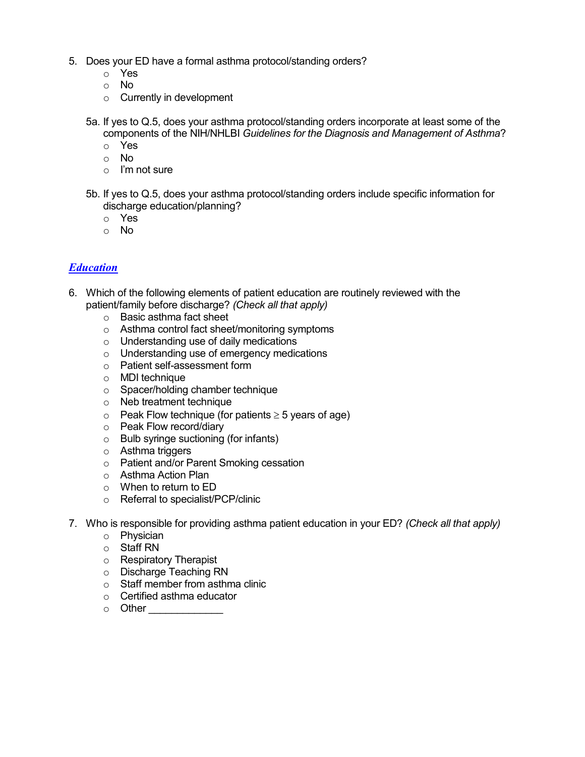- 5. Does your ED have a formal asthma protocol/standing orders?
	- o Yes
	- o No
	- $\circ$  Currently in development
	- 5a. If yes to Q.5, does your asthma protocol/standing orders incorporate at least some of the components of the NIH/NHLBI *Guidelines for the Diagnosis and Management of Asthma*?
		- o Yes
		- o No
		- o I'm not sure
	- 5b. If yes to Q.5, does your asthma protocol/standing orders include specific information for discharge education/planning?
		- o Yes
		- o No

## *Education*

- 6. Which of the following elements of patient education are routinely reviewed with the patient/family before discharge? *(Check all that apply)*
	- o Basic asthma fact sheet
	- o Asthma control fact sheet/monitoring symptoms
	- o Understanding use of daily medications
	- o Understanding use of emergency medications
	- o Patient self-assessment form
	- o MDI technique
	- o Spacer/holding chamber technique
	- o Neb treatment technique
	- $\circ$  Peak Flow technique (for patients  $\geq$  5 years of age)
	- o Peak Flow record/diary
	- o Bulb syringe suctioning (for infants)
	- o Asthma triggers
	- o Patient and/or Parent Smoking cessation
	- o Asthma Action Plan
	- o When to return to ED
	- o Referral to specialist/PCP/clinic
- 7. Who is responsible for providing asthma patient education in your ED? *(Check all that apply)*
	- o Physician
	- o Staff RN
	- o Respiratory Therapist
	- o Discharge Teaching RN
	- o Staff member from asthma clinic
	- o Certified asthma educator
	- o Other \_\_\_\_\_\_\_\_\_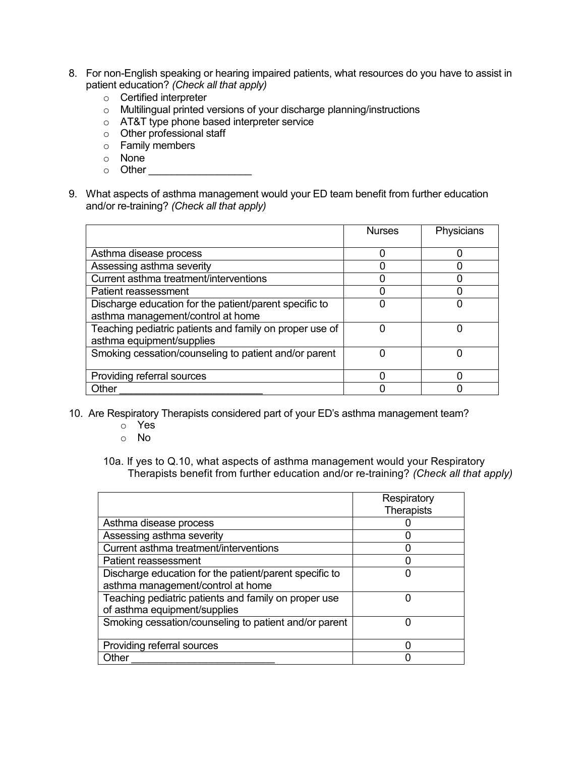- 8. For non-English speaking or hearing impaired patients, what resources do you have to assist in patient education? *(Check all that apply)*
	- o Certified interpreter
	- o Multilingual printed versions of your discharge planning/instructions
	- o AT&T type phone based interpreter service
	- o Other professional staff
	- o Family members
	- o None
	- $\circ$  Other  $\circ$
- 9. What aspects of asthma management would your ED team benefit from further education and/or re-training? *(Check all that apply)*

|                                                         | <b>Nurses</b> | Physicians |
|---------------------------------------------------------|---------------|------------|
| Asthma disease process                                  |               |            |
| Assessing asthma severity                               |               |            |
| Current asthma treatment/interventions                  |               |            |
| Patient reassessment                                    |               |            |
| Discharge education for the patient/parent specific to  |               |            |
| asthma management/control at home                       |               |            |
| Teaching pediatric patients and family on proper use of | ი             | 0          |
| asthma equipment/supplies                               |               |            |
| Smoking cessation/counseling to patient and/or parent   |               |            |
|                                                         |               |            |
| Providing referral sources                              |               |            |
| Other                                                   |               |            |

- 10. Are Respiratory Therapists considered part of your ED's asthma management team?
	- o Yes
	- o No
	- 10a. If yes to Q.10, what aspects of asthma management would your Respiratory Therapists benefit from further education and/or re-training? *(Check all that apply)*

|                                                        | Respiratory       |
|--------------------------------------------------------|-------------------|
|                                                        | <b>Therapists</b> |
| Asthma disease process                                 |                   |
| Assessing asthma severity                              |                   |
| Current asthma treatment/interventions                 |                   |
| Patient reassessment                                   |                   |
| Discharge education for the patient/parent specific to |                   |
| asthma management/control at home                      |                   |
| Teaching pediatric patients and family on proper use   |                   |
| of asthma equipment/supplies                           |                   |
| Smoking cessation/counseling to patient and/or parent  |                   |
|                                                        |                   |
| Providing referral sources                             |                   |
| <b>Other</b>                                           |                   |